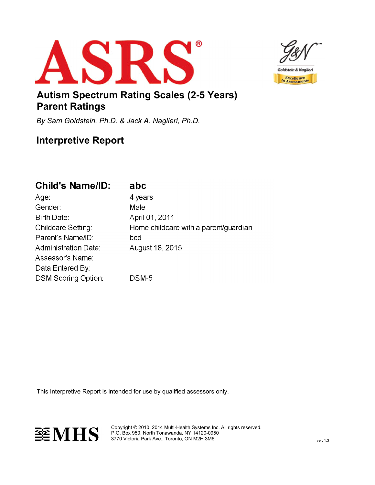



## Autism Spectrum Rating Scales (2-5 Years) Parent Ratings

By Sam Goldstein, Ph.D. & Jack A. Naglieri, Ph.D.

# Interpretive Report

# **Child's Name/ID:**

| ADC |
|-----|
|-----|

| Age:                        | 4 years                               |
|-----------------------------|---------------------------------------|
| Gender:                     | Male                                  |
| Birth Date:                 | April 01, 2011                        |
| Childcare Setting:          | Home childcare with a parent/guardian |
| Parent's Name/ID:           | bcd                                   |
| <b>Administration Date:</b> | August 18, 2015                       |
| Assessor's Name:            |                                       |
| Data Entered By:            |                                       |
| <b>DSM Scoring Option:</b>  | DSM-5                                 |
|                             |                                       |

This Interpretive Report is intended for use by qualified assessors only.



Copyright © 2010, 2014 Multi-Health Systems Inc. All rights reserved. P.O. Box 950, North Tonawanda, NY 14120-0950 3770 Victoria Park Ave., Toronto, ON M2H 3M6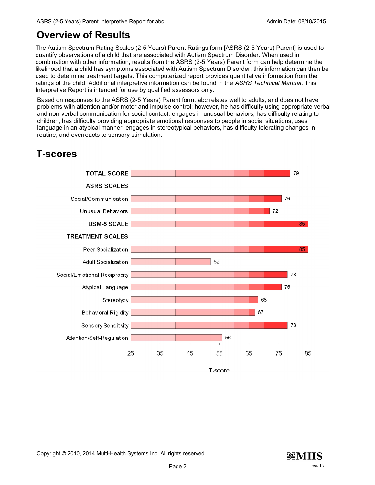## Overview of Results

The Autism Spectrum Rating Scales (2-5 Years) Parent Ratings form [ASRS (2-5 Years) Parent] is used to quantify observations of a child that are associated with Autism Spectrum Disorder. When used in combination with other information, results from the ASRS (2-5 Years) Parent form can help determine the likelihood that a child has symptoms associated with Autism Spectrum Disorder; this information can then be used to determine treatment targets. This computerized report provides quantitative information from the ratings of the child. Additional interpretive information can be found in the ASRS Technical Manual. This Interpretive Report is intended for use by qualified assessors only.

Based on responses to the ASRS (2-5 Years) Parent form, abc relates well to adults, and does not have problems with attention and/or motor and impulse control; however, he has difficulty using appropriate verbal and non-verbal communication for social contact, engages in unusual behaviors, has difficulty relating to children, has difficulty providing appropriate emotional responses to people in social situations, uses language in an atypical manner, engages in stereotypical behaviors, has difficulty tolerating changes in routine, and overreacts to sensory stimulation.

# **T-scores**



T-score

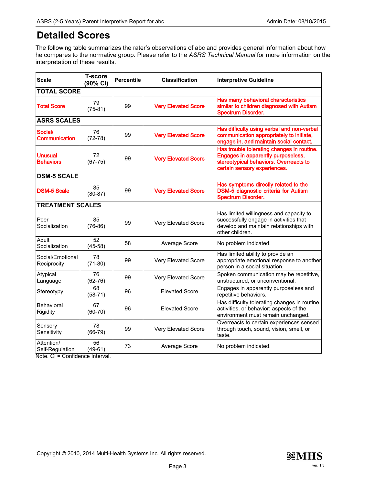# Detailed Scores

The following table summarizes the rater's observations of abc and provides general information about how he compares to the normative group. Please refer to the ASRS Technical Manual for more information on the interpretation of these results.

| <b>Scale</b>                       | <b>T-score</b><br>(90% CI) | <b>Percentile</b> | <b>Classification</b>      | <b>Interpretive Guideline</b>                                                                                                                              |
|------------------------------------|----------------------------|-------------------|----------------------------|------------------------------------------------------------------------------------------------------------------------------------------------------------|
| <b>TOTAL SCORE</b>                 |                            |                   |                            |                                                                                                                                                            |
| <b>Total Score</b>                 | 79<br>$(75-81)$            | 99                | <b>Very Elevated Score</b> | Has many behavioral characteristics<br>similar to children diagnosed with Autism<br><b>Spectrum Disorder.</b>                                              |
| <b>ASRS SCALES</b>                 |                            |                   |                            |                                                                                                                                                            |
| Social/<br>Communication           | 76<br>$(72-78)$            | 99                | <b>Very Elevated Score</b> | Has difficulty using verbal and non-verbal<br>communication appropriately to initiate,<br>engage in, and maintain social contact.                          |
| <b>Unusual</b><br><b>Behaviors</b> | 72<br>$(67 - 75)$          | 99                | <b>Very Elevated Score</b> | Has trouble tolerating changes in routine.<br>Engages in apparently purposeless,<br>stereotypical behaviors. Overreacts to<br>certain sensory experiences. |
| <b>DSM-5 SCALE</b>                 |                            |                   |                            |                                                                                                                                                            |
| <b>DSM-5 Scale</b>                 | 85<br>$(80-87)$            | 99                | <b>Very Elevated Score</b> | Has symptoms directly related to the<br>DSM-5 diagnostic criteria for Autism<br><b>Spectrum Disorder.</b>                                                  |
| <b>TREATMENT SCALES</b>            |                            |                   |                            |                                                                                                                                                            |
| Peer<br>Socialization              | 85<br>$(76-86)$            | 99                | Very Elevated Score        | Has limited willingness and capacity to<br>successfully engage in activities that<br>develop and maintain relationships with<br>other children.            |
| Adult<br>Socialization             | 52<br>$(45-58)$            | 58                | Average Score              | No problem indicated.                                                                                                                                      |
| Social/Emotional<br>Reciprocity    | 78<br>$(71-80)$            | 99                | Very Elevated Score        | Has limited ability to provide an<br>appropriate emotional response to another<br>person in a social situation.                                            |
| Atypical<br>Language               | 76<br>$(62 - 76)$          | 99                | Very Elevated Score        | Spoken communication may be repetitive,<br>unstructured, or unconventional.                                                                                |
| Stereotypy                         | 68<br>$(58-71)$            | 96                | <b>Elevated Score</b>      | Engages in apparently purposeless and<br>repetitive behaviors.                                                                                             |
| Behavioral<br>Rigidity             | 67<br>$(60-70)$            | 96                | <b>Elevated Score</b>      | Has difficulty tolerating changes in routine,<br>activities, or behavior; aspects of the<br>environment must remain unchanged.                             |
| Sensory<br>Sensitivity             | 78<br>$(66-79)$            | 99                | Very Elevated Score        | Overreacts to certain experiences sensed<br>through touch, sound, vision, smell, or<br>taste.                                                              |
| Attention/<br>Self-Regulation      | 56<br>$(49-61)$            | 73                | Average Score              | No problem indicated.                                                                                                                                      |

Note. CI = Confidence Interval.

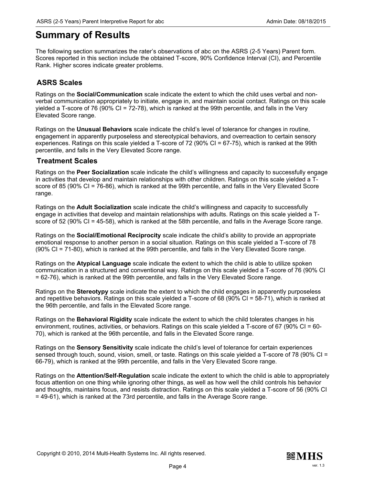## Summary of Results

The following section summarizes the rater's observations of abc on the ASRS (2-5 Years) Parent form. Scores reported in this section include the obtained T-score, 90% Confidence Interval (CI), and Percentile Rank. Higher scores indicate greater problems.

### ASRS Scales

Ratings on the Social/Communication scale indicate the extent to which the child uses verbal and nonverbal communication appropriately to initiate, engage in, and maintain social contact. Ratings on this scale yielded a T-score of 76 (90% CI = 72-78), which is ranked at the 99th percentile, and falls in the Very Elevated Score range.

Ratings on the **Unusual Behaviors** scale indicate the child's level of tolerance for changes in routine, engagement in apparently purposeless and stereotypical behaviors, and overreaction to certain sensory experiences. Ratings on this scale yielded a T-score of 72 (90% CI = 67-75), which is ranked at the 99th percentile, and falls in the Very Elevated Score range.

### Treatment Scales

Ratings on the Peer Socialization scale indicate the child's willingness and capacity to successfully engage in activities that develop and maintain relationships with other children. Ratings on this scale yielded a Tscore of 85 (90% CI = 76-86), which is ranked at the 99th percentile, and falls in the Very Elevated Score range.

Ratings on the **Adult Socialization** scale indicate the child's willingness and capacity to successfully engage in activities that develop and maintain relationships with adults. Ratings on this scale yielded a Tscore of 52 (90% CI = 45-58), which is ranked at the 58th percentile, and falls in the Average Score range.

Ratings on the Social/Emotional Reciprocity scale indicate the child's ability to provide an appropriate emotional response to another person in a social situation. Ratings on this scale yielded a T-score of 78 (90% CI = 71-80), which is ranked at the 99th percentile, and falls in the Very Elevated Score range.

Ratings on the **Atypical Language** scale indicate the extent to which the child is able to utilize spoken communication in a structured and conventional way. Ratings on this scale yielded a T-score of 76 (90% CI = 62-76), which is ranked at the 99th percentile, and falls in the Very Elevated Score range.

Ratings on the Stereotypy scale indicate the extent to which the child engages in apparently purposeless and repetitive behaviors. Ratings on this scale yielded a T-score of 68 (90% CI = 58-71), which is ranked at the 96th percentile, and falls in the Elevated Score range.

Ratings on the Behavioral Rigidity scale indicate the extent to which the child tolerates changes in his environment, routines, activities, or behaviors. Ratings on this scale yielded a T-score of 67 (90% CI = 60- 70), which is ranked at the 96th percentile, and falls in the Elevated Score range.

Ratings on the **Sensory Sensitivity** scale indicate the child's level of tolerance for certain experiences sensed through touch, sound, vision, smell, or taste. Ratings on this scale yielded a T-score of 78 (90% CI = 66-79), which is ranked at the 99th percentile, and falls in the Very Elevated Score range.

Ratings on the **Attention/Self-Regulation** scale indicate the extent to which the child is able to appropriately focus attention on one thing while ignoring other things, as well as how well the child controls his behavior and thoughts, maintains focus, and resists distraction. Ratings on this scale yielded a T-score of 56 (90% CI = 49-61), which is ranked at the 73rd percentile, and falls in the Average Score range.

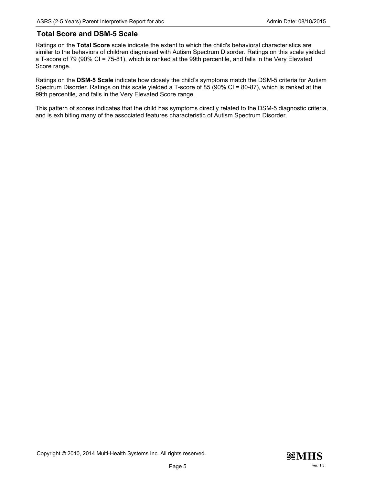#### Total Score and DSM-5 Scale

Ratings on the Total Score scale indicate the extent to which the child's behavioral characteristics are similar to the behaviors of children diagnosed with Autism Spectrum Disorder. Ratings on this scale yielded a T-score of 79 (90% CI = 75-81), which is ranked at the 99th percentile, and falls in the Very Elevated Score range.

Ratings on the DSM-5 Scale indicate how closely the child's symptoms match the DSM-5 criteria for Autism Spectrum Disorder. Ratings on this scale yielded a T-score of 85 (90% CI = 80-87), which is ranked at the 99th percentile, and falls in the Very Elevated Score range.

This pattern of scores indicates that the child has symptoms directly related to the DSM-5 diagnostic criteria, and is exhibiting many of the associated features characteristic of Autism Spectrum Disorder.

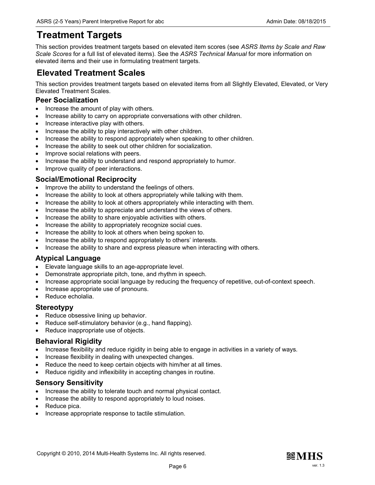# Treatment Targets

This section provides treatment targets based on elevated item scores (see ASRS Items by Scale and Raw Scale Scores for a full list of elevated items). See the ASRS Technical Manual for more information on elevated items and their use in formulating treatment targets.

### Elevated Treatment Scales

This section provides treatment targets based on elevated items from all Slightly Elevated, Elevated, or Very Elevated Treatment Scales.

#### Peer Socialization

- · Increase the amount of play with others.
- · Increase ability to carry on appropriate conversations with other children.
- · Increase interactive play with others.
- · Increase the ability to play interactively with other children.
- · Increase the ability to respond appropriately when speaking to other children.
- · Increase the ability to seek out other children for socialization.
- · Improve social relations with peers.
- · Increase the ability to understand and respond appropriately to humor.
- · Improve quality of peer interactions.

### Social/Emotional Reciprocity

- Improve the ability to understand the feelings of others.
- · Increase the ability to look at others appropriately while talking with them.
- · Increase the ability to look at others appropriately while interacting with them.
- Increase the ability to appreciate and understand the views of others.
- · Increase the ability to share enjoyable activities with others.
- · Increase the ability to appropriately recognize social cues.
- · Increase the ability to look at others when being spoken to.
- · Increase the ability to respond appropriately to others' interests.
- · Increase the ability to share and express pleasure when interacting with others.

### Atypical Language

- · Elevate language skills to an age-appropriate level.
- Demonstrate appropriate pitch, tone, and rhythm in speech.
- · Increase appropriate social language by reducing the frequency of repetitive, out-of-context speech.
- · Increase appropriate use of pronouns.
- · Reduce echolalia.

### **Stereotypy**

- · Reduce obsessive lining up behavior.
- Reduce self-stimulatory behavior (e.g., hand flapping).
- · Reduce inappropriate use of objects.

### Behavioral Rigidity

- · Increase flexibility and reduce rigidity in being able to engage in activities in a variety of ways.
- · Increase flexibility in dealing with unexpected changes.
- Reduce the need to keep certain objects with him/her at all times.
- · Reduce rigidity and inflexibility in accepting changes in routine.

#### Sensory Sensitivity

- · Increase the ability to tolerate touch and normal physical contact.
- · Increase the ability to respond appropriately to loud noises.
- Reduce pica.
- · Increase appropriate response to tactile stimulation.

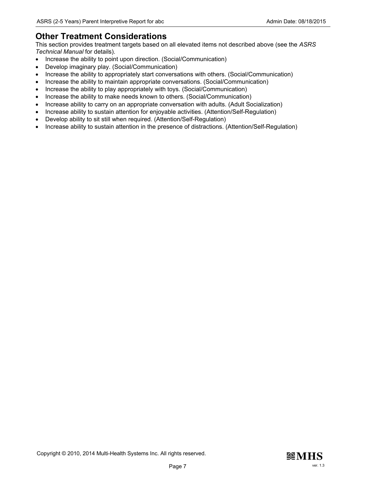### Other Treatment Considerations

This section provides treatment targets based on all elevated items not described above (see the ASRS Technical Manual for details).

- Increase the ability to point upon direction. (Social/Communication)
- Develop imaginary play. (Social/Communication)
- · Increase the ability to appropriately start conversations with others. (Social/Communication)
- · Increase the ability to maintain appropriate conversations. (Social/Communication)
- · Increase the ability to play appropriately with toys. (Social/Communication)
- · Increase the ability to make needs known to others. (Social/Communication)
- · Increase ability to carry on an appropriate conversation with adults. (Adult Socialization)
- · Increase ability to sustain attention for enjoyable activities. (Attention/Self-Regulation)
- · Develop ability to sit still when required. (Attention/Self-Regulation)
- · Increase ability to sustain attention in the presence of distractions. (Attention/Self-Regulation)

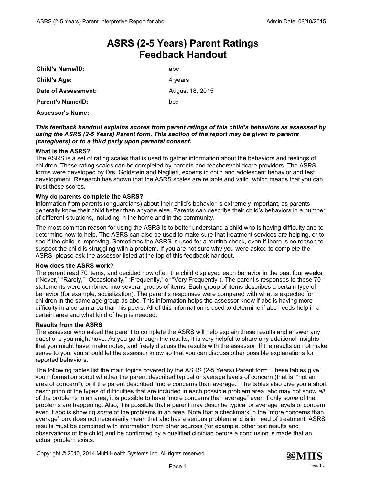## ASRS (2-5 Years) Parent Ratings Feedback Handout

| <b>Child's Name/ID:</b>  | abc             |
|--------------------------|-----------------|
| <b>Child's Age:</b>      | 4 years         |
| Date of Assessment:      | August 18, 2015 |
| <b>Parent's Name/ID:</b> | bcd             |
| <b>Assessor's Name:</b>  |                 |

#### This feedback handout explains scores from parent ratings of this child's behaviors as assessed by using the ASRS (2-5 Years) Parent form. This section of the report may be given to parents (caregivers) or to a third party upon parental consent.

#### What is the ASRS?

The ASRS is a set of rating scales that is used to gather information about the behaviors and feelings of children. These rating scales can be completed by parents and teachers/childcare providers. The ASRS forms were developed by Drs. Goldstein and Naglieri, experts in child and adolescent behavior and test development. Research has shown that the ASRS scales are reliable and valid, which means that you can trust these scores.

#### Why do parents complete the ASRS?

Information from parents (or guardians) about their child's behavior is extremely important, as parents generally know their child better than anyone else. Parents can describe their child's behaviors in a number of different situations, including in the home and in the community.

The most common reason for using the ASRS is to better understand a child who is having difficulty and to determine how to help. The ASRS can also be used to make sure that treatment services are helping, or to see if the child is improving. Sometimes the ASRS is used for a routine check, even if there is no reason to suspect the child is struggling with a problem. If you are not sure why you were asked to complete the ASRS, please ask the assessor listed at the top of this feedback handout.

#### How does the ASRS work?

The parent read 70 items, and decided how often the child displayed each behavior in the past four weeks ("Never," "Rarely," "Occasionally," "Frequently," or "Very Frequently"). The parent's responses to these 70 statements were combined into several groups of items. Each group of items describes a certain type of behavior (for example, socialization). The parent's responses were compared with what is expected for children in the same age group as abc. This information helps the assessor know if abc is having more difficulty in a certain area than his peers. All of this information is used to determine if abc needs help in a certain area and what kind of help is needed.

#### Results from the ASRS

The assessor who asked the parent to complete the ASRS will help explain these results and answer any questions you might have. As you go through the results, it is very helpful to share any additional insights that you might have, make notes, and freely discuss the results with the assessor. If the results do not make sense to you, you should let the assessor know so that you can discuss other possible explanations for reported behaviors.

The following tables list the main topics covered by the ASRS (2-5 Years) Parent form. These tables give you information about whether the parent described typical or average levels of concern (that is, "not an area of concern"), or if the parent described "more concerns than average." The tables also give you a short description of the types of difficulties that are included in each possible problem area. abc may not show all of the problems in an area; it is possible to have "more concerns than average" even if only some of the problems are happening. Also, it is possible that a parent may describe typical or average levels of concern even if abc is showing *some* of the problems in an area. Note that a checkmark in the "more concerns than average" box does not necessarily mean that abc has a serious problem and is in need of treatment. ASRS results must be combined with information from other sources (for example, other test results and observations of the child) and be confirmed by a qualified clinician before a conclusion is made that an actual problem exists.

Copyright © 2010, 2014 Multi-Health Systems Inc. All rights reserved.